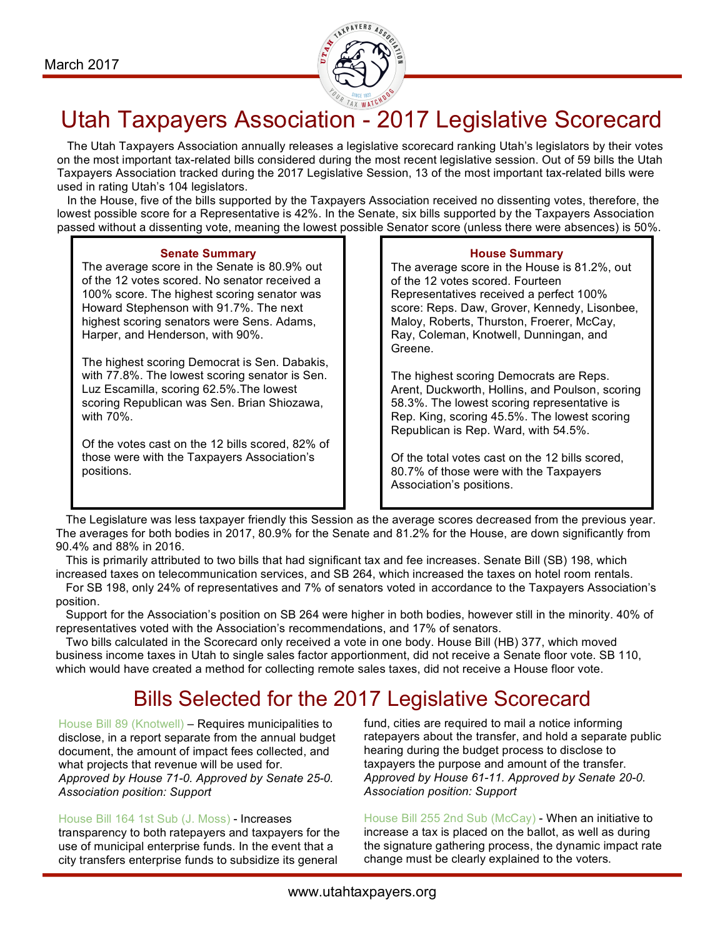

# Utah Taxpayers Association - 2017 Legislative Scorecard<br>The Utah Taxpayers Association annually releases a legislative scorecard ranking Utah's legislators by their votes

on the most important tax-related bills considered during the most recent legislative session. Out of 59 bills the Utah Taxpayers Association tracked during the 2017 Legislative Session, 13 of the most important tax-related bills were used in rating Utah's 104 legislators.

 In the House, five of the bills supported by the Taxpayers Association received no dissenting votes, therefore, the lowest possible score for a Representative is 42%. In the Senate, six bills supported by the Taxpayers Association passed without a dissenting vote, meaning the lowest possible Senator score (unless there were absences) is 50%.

#### **Senate Summary**

The average score in the Senate is 80.9% out of the 12 votes scored. No senator received a 100% score. The highest scoring senator was Howard Stephenson with 91.7%. The next highest scoring senators were Sens. Adams, Harper, and Henderson, with 90%.

The highest scoring Democrat is Sen. Dabakis, with 77.8%. The lowest scoring senator is Sen. Luz Escamilla, scoring 62.5%.The lowest scoring Republican was Sen. Brian Shiozawa, with 70%.

Of the votes cast on the 12 bills scored, 82% of those were with the Taxpayers Association's positions.

## **House Summary**

The average score in the House is 81.2%, out of the 12 votes scored. Fourteen Representatives received a perfect 100% score: Reps. Daw, Grover, Kennedy, Lisonbee, Maloy, Roberts, Thurston, Froerer, McCay, Ray, Coleman, Knotwell, Dunningan, and Greene.

The highest scoring Democrats are Reps. Arent, Duckworth, Hollins, and Poulson, scoring 58.3%. The lowest scoring representative is Rep. King, scoring 45.5%. The lowest scoring Republican is Rep. Ward, with 54.5%.

Of the total votes cast on the 12 bills scored, 80.7% of those were with the Taxpayers Association's positions.

 The Legislature was less taxpayer friendly this Session as the average scores decreased from the previous year. The averages for both bodies in 2017, 80.9% for the Senate and 81.2% for the House, are down significantly from 90.4% and 88% in 2016.

 This is primarily attributed to two bills that had significant tax and fee increases. Senate Bill (SB) 198, which increased taxes on telecommunication services, and SB 264, which increased the taxes on hotel room rentals.

 For SB 198, only 24% of representatives and 7% of senators voted in accordance to the Taxpayers Association's position.

 Support for the Association's position on SB 264 were higher in both bodies, however still in the minority. 40% of representatives voted with the Association's recommendations, and 17% of senators.

 Two bills calculated in the Scorecard only received a vote in one body. House Bill (HB) 377, which moved business income taxes in Utah to single sales factor apportionment, did not receive a Senate floor vote. SB 110, which would have created a method for collecting remote sales taxes, did not receive a House floor vote.

# Bills Selected for the 2017 Legislative Scorecard

House Bill 89 (Knotwell) – Requires municipalities to disclose, in a report separate from the annual budget document, the amount of impact fees collected, and what projects that revenue will be used for. *Approved by House 71-0. Approved by Senate 25-0. Association position: Support*

House Bill 164 1st Sub (J. Moss) - Increases

transparency to both ratepayers and taxpayers for the use of municipal enterprise funds. In the event that a city transfers enterprise funds to subsidize its general

fund, cities are required to mail a notice informing ratepayers about the transfer, and hold a separate public hearing during the budget process to disclose to taxpayers the purpose and amount of the transfer. *Approved by House 61-11. Approved by Senate 20-0. Association position: Support*

House Bill 255 2nd Sub (McCay) - When an initiative to increase a tax is placed on the ballot, as well as during the signature gathering process, the dynamic impact rate change must be clearly explained to the voters.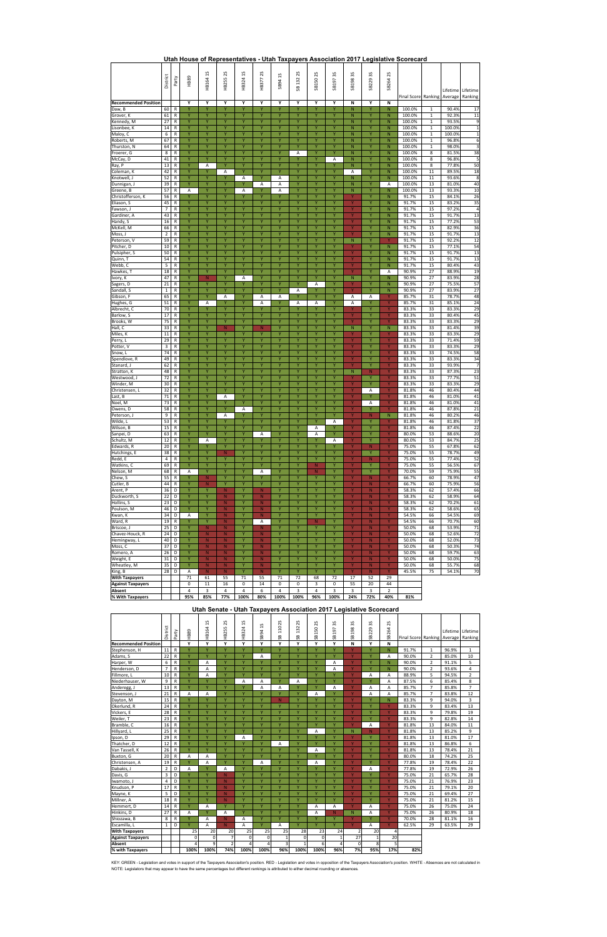|                             | District        | Party                      | <b>HB89</b>           | <b>1B1641S</b>         | HB2552S               | HB324 1S                        | 25<br>HB377               | $\frac{2}{3}$<br>SB94 | 2S<br>SB 132            | SB1502S               | 35<br>SB197 | SB1983S           | SS<br>SB229    | 25<br>SB264               | Final Score Ranking   Average |                              | Lifetime        | Lifetime<br>Ranking  |
|-----------------------------|-----------------|----------------------------|-----------------------|------------------------|-----------------------|---------------------------------|---------------------------|-----------------------|-------------------------|-----------------------|-------------|-------------------|----------------|---------------------------|-------------------------------|------------------------------|-----------------|----------------------|
| <b>Recommended Position</b> |                 |                            | Y                     | Υ                      | Y                     | Y                               | Υ                         | Υ                     | Υ                       | Y                     | Υ           | Ν                 | Υ              | N                         |                               |                              |                 |                      |
| Daw, B                      | 60              | R                          | Y                     | Ÿ                      | Y                     | Y                               | Ÿ                         | Y                     | Υ                       | Y                     | Ÿ           | N                 | Y              | $\mathsf{N}$              | 100.0%                        | $\mathbf{1}$                 | 90.4%           | 17                   |
| Grover, K                   | 61              | R                          | Y                     | Ÿ<br>Ÿ                 | Ÿ<br>Ÿ                | Ÿ<br>Ÿ                          | Υ<br>Y                    | Ÿ<br>Ÿ                | Υ                       | Ÿ<br>Ÿ                | Ÿ<br>Ÿ      | N                 | Υ<br>Ÿ         | N                         | 100.0%                        | $\mathbf{1}$                 | 92.3%           | 11                   |
| Kennedy, M                  | 27<br>14        | R<br>R                     | Ÿ<br>Y                | Y                      | Y                     | Y                               | Y                         | Ÿ                     | Y<br>Y                  | Y                     | Y           | N<br>N            | Y              | $\mathsf{N}$<br>${\sf N}$ | 100.0%<br>100.0%              | $\mathbf{1}$                 | 93.5%<br>100.0% | 9<br>$\mathbf{1}$    |
| Lisonbee, K<br>Maloy, C     | 6               | R                          | Υ                     | Y                      | Y                     | Ÿ                               | Y                         | Ÿ                     | Υ                       | Υ                     | Υ           | N                 | Υ              | N                         | 100.0%                        | $\mathbf{1}$<br>$\mathbf{1}$ | 100.0%          | $\mathbf 1$          |
| Roberts, M                  | 67              | R                          | Ÿ                     | Ÿ                      | Y                     | Ÿ                               | Y                         | Ÿ                     | Υ                       | Ÿ                     | Ÿ           | N                 | Ÿ              | N                         | 100.0%                        | $\mathbf{1}$                 | 96.8%           | 6                    |
| Thurston, N                 | 64              | R                          | Y                     | Ÿ                      | Y                     | Y                               | Y                         | Ÿ                     | Y                       | Y                     | Ÿ           | N                 | Y              | $\mathsf{N}$              | 100.0%                        | $\mathbf{1}$                 | 98.0%           | 3                    |
| Froerer, G                  | 8               | ${\sf R}$                  | Y                     | Ÿ                      | Y                     | Y                               | Y                         | Y                     | Α                       | Y                     | Y           | N                 | Y              | N                         | 100.0%                        | 8                            | 81.5%           | 38                   |
| McCay, D                    | 41              | R                          | Υ                     | Ÿ                      | Ÿ                     | Υ                               | Υ                         | Ÿ                     | Υ                       | Υ                     | Α           | N                 | Υ              | ${\sf N}$                 | 100.0%                        | 8                            | 96.8%           | 5                    |
| Ray, P                      | 13              | R                          | Ÿ                     | А                      | Y                     | Ÿ                               | Ÿ                         | Ÿ                     | Ÿ                       | Ÿ                     | Ÿ           | N                 | Ÿ              | $\mathsf{N}$              | 100.0%                        | 8                            | 77.8%           | 50                   |
| Coleman, K                  | 42              | $\mathsf R$                | Y                     | Ÿ                      | А                     | Y                               | Y                         | Y                     | Y                       | Y                     | Ÿ           | А                 | Y              | $\mathsf{N}$              | 100.0%                        | 11                           | 89.5%           | 18                   |
| Knotwell, J<br>Dunnigan, J  | 52<br>39        | R<br>${\sf R}$             | Y<br>Y                | Ÿ<br>Y                 | Y<br>Ň                | Α                               | Y<br>Α                    | А                     | Y<br>Ÿ                  | Y<br>Y                | Υ<br>Y      | N<br>N            | Y<br>Y         | ${\sf N}$<br>Α            | 100.0%<br>100.0%              | 11<br>13                     | 93.6%<br>81.0%  | 8<br>40              |
| Greene, B                   | 57              | R                          | А                     | Y                      | Ÿ                     | A                               | Ÿ                         | Α<br>A                | Y                       | Y                     | Y           | N                 | Y              | $\mathsf{N}$              | 100.0%                        | 13                           | 93.3%           | 10                   |
| Christofferson, K           | 56              | R                          | Y                     | Y                      | Y                     | Y                               | Y                         | Y                     | Y                       | Y                     | Y           | Y                 | Y              | $\mathsf{N}$              | 91.7%                         | 15                           | 84.1%           | 26                   |
| Eliason, S                  | 45              | R                          | Υ                     | Y                      | Y                     | Ÿ                               | Y                         | Ÿ                     | Υ                       | Υ                     | Υ           | Y                 | Y              | ${\sf N}$                 | 91.7%                         | 15                           | 83.2%           | 35                   |
| Fawson, J                   | $\overline{7}$  | R                          | Ÿ                     | Ÿ                      | Ÿ                     | Ÿ                               | Ÿ                         | Ÿ                     | Ÿ                       | Ÿ                     | Ÿ           | Y                 | Ÿ              | N                         | 91.7%                         | 15                           | 97.2%           | $\overline{4}$       |
| Gardiner, A                 | 43              | R                          | Y                     | Ÿ                      | Y                     | Y                               | Y                         | Ÿ                     | Y                       | Y                     | Y           | Y                 | Y              | ${\sf N}$                 | 91.7%                         | 15                           | 91.7%           | 13                   |
| Handy, S                    | 16              | ${\sf R}$                  | Υ                     | Ÿ                      | Y                     | Ÿ                               | Y                         | Y                     | Ÿ                       | Ÿ                     | Ÿ           | Y                 | Ÿ              | $\mathsf{N}$              | 91.7%                         | 15                           | 77.2%           | 53                   |
| McKell, M                   | 66              | $\mathsf{R}$               | Υ                     | Y                      | Υ                     | Υ                               | Υ                         | Υ                     | Υ                       | Υ                     | Υ           | Y                 | Υ              | ${\sf N}$                 | 91.7%                         | 15                           | 82.9%           | 36                   |
| Moss, J                     | $\mathbf 2$     | R                          | Ÿ                     | Ÿ                      | Ÿ                     | Y                               | Y                         | Ÿ<br>Ÿ                | Y                       | Ÿ                     | Ÿ           | Y                 | Ÿ              | ${\sf N}$                 | 91.7%                         | 15                           | 91.7%           | 13                   |
| Peterson, V<br>Pitcher, D   | 59<br>10        | R<br>R                     | Y<br>Y                | Y<br>Y                 | Y<br>Y                | Y<br>Y                          | Y<br>Y                    | Y                     | Y<br>Υ                  | Y<br>Y                | Y<br>Y      | $\mathsf{N}$<br>Y | Y<br>Y         | Y<br>${\sf N}$            | 91.7%<br>91.7%                | 15<br>15                     | 92.2%<br>77.1%  | 12<br>54             |
| Pulsipher, S                | 50              | $\mathsf R$                | Ÿ                     | Ÿ                      | Ÿ                     | Y                               | Ÿ                         | Ÿ                     | Y                       | Y                     | Ÿ           | Y                 | Ÿ              | N                         | 91.7%                         | 15                           | 91.7%           | 13                   |
| Quinn, T                    | 54              | R                          | Y                     | Ÿ                      | Ÿ                     | Y                               | Y                         | Ÿ                     | Y                       | Y                     | Ÿ           | Y                 | Y              | $\mathsf{N}$              | 91.7%                         | 15                           | 91.7%           | 13                   |
| Webb, C                     | 5               | ${\sf R}$                  | Y                     | Ÿ                      | Y                     | Y                               | Υ                         | Ÿ                     | Y                       | Y                     | Y           | Y                 | Υ              | ${\sf N}$                 | 91.7%                         | 15                           | 80.4%           | 43                   |
| Hawkes, T                   | 18              | R                          | Y                     | Ÿ                      | Y                     |                                 | Ÿ                         | Ÿ                     | Ÿ                       | Υ                     | Ÿ           | Y                 | Υ              | А                         | 90.9%                         | 27                           | 88.9%           | 19                   |
| Ivory, K                    | 47              | R                          | Ÿ                     | $\mathbf N$            | Ÿ                     | Α                               | Y                         | Ÿ                     | Ÿ                       | Ÿ                     | Ÿ           | N                 | Ÿ              | $\mathsf{N}$              | 90.9%                         | 27                           | 83.9%           | 28                   |
| Sagers, D                   | 21              | R                          | Y                     | Ÿ                      | Y                     | Y                               | Y                         | Ÿ                     | Y                       | Α                     | Y           | Y                 | Y              | ${\sf N}$                 | 90.9%                         | 27                           | 75.5%           | 57                   |
| Sandall, S                  | $\mathbf 1$     | R                          | Υ                     | Ÿ                      | Y                     | Y                               | Υ                         | Υ                     | Α                       | Y                     | Ÿ           | Y                 | Ÿ              | N                         | 90.9%                         | 27                           | 83.9%           | 27                   |
| Gibson, F                   | 65              | R                          | Υ<br>Y                | Y                      | Α<br>Ÿ                | Υ<br>Y                          | Α                         | А<br>Ÿ                | Υ                       | Ÿ                     | Υ<br>Y      | Α                 | Α<br>Ÿ         | Υ<br>Y                    | 85.7%                         | 31                           | 78.7%           | 48                   |
| Hughes, G<br>Albrecht, C    | 51<br>70        | R<br>${\sf R}$             | Y                     | Α<br>Ÿ                 | Y                     | Y                               | A<br>Y                    | Y                     | Α<br>Y                  | Α<br>Ÿ                | Y           | A<br>Y            | Y              | Y                         | 85.7%<br>83.3%                | 31<br>33                     | 85.1%<br>83.3%  | 24<br>29             |
| Barlow, S                   | 17              | R                          | Y                     | Y                      | Y                     | Y                               | Υ                         | Υ                     | Y                       | Υ                     | Υ           | Y                 | Y              | Y                         | 83.3%                         | 33                           | 80.4%           | 45                   |
| Brooks, W                   | 75              | R                          | Ÿ                     | Ÿ                      | Ÿ                     | Ÿ                               | Ÿ                         | Ÿ                     | Ÿ                       | Ÿ                     | Ÿ           | Y                 | Y              | Y                         | 83.3%                         | 33                           | 83.3%           | 29                   |
| Hall, C                     | 33              | R                          | Y                     | Ÿ                      | N                     | Y                               | N                         | Ÿ                     | Y                       | Y                     | Ÿ           | N                 | Y              | ${\sf N}$                 | 83.3%                         | 33                           | 81.4%           | 39                   |
| Miles, K                    | 11              | R                          | Y                     | Ÿ                      | Y                     | Y                               | Υ                         | Ÿ                     | Y                       | Ÿ                     | Υ           | Y                 | Υ              | Y                         | 83.3%                         | 33                           | 83.3%           | 29                   |
| Perry, L                    | 29              | ${\sf R}$                  | Υ                     | Ÿ                      | Y                     | Y                               | Υ                         | Y                     | Ÿ                       | Y                     | Y           | Y                 | Υ              | Y                         | 83.3%                         | 33                           | 71.4%           | 59                   |
| Potter, V                   | 3               | R                          | Ÿ                     | Ÿ                      | Ÿ                     | Ÿ                               | Y                         | Ÿ                     | Y                       | Ÿ                     | Ÿ           | Y                 | Y              | Y                         | 83.3%                         | 33                           | 83.3%           | 29                   |
| Snow, L                     | 74              | R                          | Y                     | Y                      | Y                     | Y                               | Y                         | Ÿ                     | Y                       | Y                     | Y           | Y                 | Y              | Y                         | 83.3%                         | 33                           | 74.5%           | 58                   |
| Spendlove, R                | 49              | $\mathsf R$                | Υ                     | Y                      | Y                     | Ÿ                               | Y                         | Ÿ<br>Ÿ                | Υ                       | Y                     | Υ           | Y                 | Y<br>Y         | Y                         | 83.3%                         | 33                           | 83.3%           | 34                   |
| Stanard, J<br>Stratton, K   | 62<br>48        | R<br>R                     | Y<br>Y                | Ÿ<br>Y                 | Y<br>Y                | Ÿ<br>Y                          | Ÿ<br>Y                    | Ÿ                     | Ÿ<br>Y                  | Ÿ<br>Y                | Y<br>Y      | Y<br>${\sf N}$    | N              | Y<br>Y                    | 83.3%<br>83.3%                | 33<br>33                     | 93.9%<br>87.3%  | $\overline{7}$<br>23 |
| Westwood, J                 | 72              | R                          | Y                     | Ÿ                      | Y                     | Ÿ                               | Y                         | Y                     | Y                       | Y                     | Ÿ           | Y                 | Y              | Y                         | 83.3%                         | 33                           | 77.7%           | 51                   |
| Winder, M                   | 30              | R                          | Υ                     | Y                      | Ÿ                     | Y                               | Υ                         | Υ                     | Υ                       | Y                     | Υ           | Y                 | Y              | Y                         | 83.3%                         | 33                           | 83.3%           | 29                   |
| Christensen, L              | 32              | R                          | Ÿ                     | Ÿ                      | Y                     | Ÿ                               | Ÿ                         | Ÿ                     | Ÿ                       | Ÿ                     | Ÿ           | Y                 | А              | Y                         | 81.8%                         | 46                           | 80.4%           | 44                   |
| Last, B                     | 71              | R                          | Y                     | Ÿ                      | Α                     | Y                               | Y                         | Ÿ                     | Y                       | Y                     | Ÿ           | Y                 | Y              | Y                         | 81.8%                         | 46                           | 81.0%           | 41                   |
| Noel, M                     | 73              | R                          | Υ                     | Ÿ                      | Y                     | Y                               | Y                         | Y                     | Ÿ                       | Y                     | Ÿ           | Y                 | А              | Y                         | 81.8%                         | 46                           | 81.0%           | 41                   |
| owens, p                    | $\overline{58}$ | ${\sf R}$                  | Y                     | Y.                     |                       | A                               |                           |                       |                         |                       | Y.          |                   |                | Y.                        | 81.8%                         | 46                           | 87.8%           | 21                   |
| Peterson, J                 | 9               | ${\sf R}$                  | Y                     | Ÿ                      | Α                     | Y                               | Y                         | Ÿ                     | Y                       | Y                     | Y           | Y                 | N              | ${\sf N}$                 | 81.8%                         | 46                           | 80.2%           | 46                   |
| Wilde, L<br>Wilson, B       | 53<br>15        | $\mathsf R$                | Y<br>Υ                | Y<br>Υ                 | Y<br>Y                | Y<br>Υ                          | Y<br>Y                    | Y<br>Υ                | Y<br>Υ                  | Y                     | Α           | Y.<br>Y           | Y<br>Y         | Y<br>Y                    | 81.8%                         | 46<br>46                     | 81.8%<br>87.4%  | 37<br>22             |
| Sanpei, D                   | 63              | $\mathsf R$<br>${\sf R}$   | Ÿ                     | Ÿ                      | Ÿ                     | Ÿ                               | Α                         | Ÿ                     | Ÿ                       | Α<br>Α                | Υ<br>Ÿ      | Y                 | Ÿ              | Y                         | 81.8%<br>80.0%                | 53                           | 88.6%           | 20                   |
| Schultz, M                  | 12              | $\mathsf R$                | Y                     | Α                      | Y                     | Y                               | Y                         | Ÿ                     | Y                       | Υ                     | Α           | Y                 | Y              | Y                         | 80.0%                         | 53                           | 84.7%           | 25                   |
| Edwards, R                  | 20              | $\mathsf R$                | Y                     | Y                      | Y                     | Υ                               | Y                         | Υ                     | Y                       | Ÿ                     | Υ           | Y                 | N              | Y                         | 75.0%                         | 55                           | 67.8%           | 62                   |
| Hutchings, E                | 38              | $\mathsf R$                | Υ                     | Y                      | ${\sf N}$             | Υ                               | Υ                         | Υ                     | Υ                       | Ÿ                     | Υ           | Υ                 | Y              | Y                         | 75.0%                         | 55                           | 78.7%           | 49                   |
| Redd, E                     | $\overline{4}$  | R                          | Y                     | Y                      | Ÿ                     | Y                               | Y                         | Ÿ                     | Y                       | Y                     | Y           | Ÿ                 | N              | Y                         | 75.0%                         | 55                           | 77.4%           | 52                   |
| Watkins, C                  | 69              | ${\sf R}$                  | Y                     | Y                      | Y                     | Y                               | Y                         | Y                     | Y                       | N                     | Y           | Y                 | Y              | Y                         | 75.0%                         | 55                           | 56.5%           | 67                   |
| Nelson, M                   | 68              | R                          | Α                     | Y                      | Y                     | Y                               | Α                         | Y                     | Y                       | N                     | Y           | Y                 | Y              | Y                         | 70.0%                         | 59                           | 75.9%           | 55                   |
| Chew, S<br>Cutler, B        | 55<br>44        | $\mathsf R$<br>$\mathsf R$ | Υ<br>Y                | ${\sf N}$<br>${\sf N}$ | Y<br>Y                | Ÿ<br>Y                          | Υ<br>Y                    | Y<br>Ÿ                | Y<br>Y                  | Y<br>Y                | Υ<br>Ÿ      | Ÿ<br>Y            | ${\sf N}$<br>N | Ÿ<br>Y                    | 66.7%<br>66.7%                | 60<br>60                     | 78.9%<br>75.9%  | 47<br>56             |
| Arent, P                    | 36              | D                          | Y                     | Y                      | $\mathsf{N}$          | Y                               | N                         | Y                     | Y                       | Y                     | Y           | Y                 | ${\sf N}$      | Y                         | 58.3%                         | 62                           | 57.4%           | 66                   |
| Duckworth, S                | 22              | D                          | Υ                     | Y                      | ${\sf N}$             | Υ                               | ${\sf N}$                 | Ÿ                     | Υ                       | Υ                     | Υ           | Y                 | ${\sf N}$      | Y                         | 58.3%                         | 62                           | 58.9%           | 64                   |
| Hollins, S                  | 23              | D                          | Y                     | Ÿ                      | ${\sf N}$             | Y                               | ${\sf N}$                 | Ÿ                     | Y                       | Ÿ                     | Ÿ           | Y                 | ${\sf N}$      | Y                         | 58.3%                         | 62                           | 70.2%           | 61                   |
| Poulson, M                  | 46              | D                          | Y                     | Y                      | ${\sf N}$             | Y                               | N                         | Ÿ                     | Y                       | Y                     | Y           | Y                 | N              | Y                         | 58.3%                         | 62                           | 58.6%           | 65                   |
| Kwan, K                     | 34              | D                          | Α                     | Y                      | $\mathsf{N}$          | Y                               | N.                        | Υ                     | Y                       | Y                     | Υ           | Y                 | N              | Y                         | 54.5%                         | 66                           | 54.5%           | 69                   |
| Ward, R                     | 19              | $\mathsf R$                | Υ                     | Ÿ                      | ${\sf N}$             | Y                               | Α                         | Y                     | Y                       | N                     | Υ           | Y                 | ${\sf N}$      | Y                         | 54.5%                         | 66                           | 70.7%           | 60                   |
| Briscoe, J                  | 25              | D                          | Y                     | N                      | ${\sf N}$             | Y                               | $\mathsf{N}$              | Y                     | Y                       | Y                     | Y           | Y                 | ${\sf N}$      | Y                         | 50.0%                         | 68                           | 53.9%           | 71                   |
| Chavez-Houck, R             | 24              | D                          | Y                     | ${\sf N}$              | ${\sf N}$             | Y                               | N                         | Υ                     | Y                       | Y                     | Y           | Y                 | ${\sf N}$      | Y                         | 50.0%                         | 68                           | 52.6%           | 72                   |
| Hemingway, L<br>Moss, C     | 40<br>37        | D<br>D                     | Y<br>Υ                | ${\sf N}$<br>${\sf N}$ | ${\sf N}$<br>N        | Y<br>Y                          | $\mathsf{N}$<br>${\sf N}$ | Y<br>Ÿ                | Y<br>Ÿ                  | Υ<br>Ÿ                | Υ<br>Y      | Y<br>Y            | N<br>${\sf N}$ | Y<br>Y                    | 50.0%<br>50.0%                | 68<br>68                     | 52.0%<br>50.3%  | 73<br>74             |
| Romero, A                   | 26              | D                          | Y                     | ${\sf N}$              | ${\sf N}$             | Y                               | $\mathsf{N}$              | Ÿ                     | Y                       | Y                     | Υ           | Y                 | ${\sf N}$      | Y                         | 50.0%                         | 68                           | 59.7%           | 63                   |
| Weight, E                   | 31              | D                          | Y                     | ${\sf N}$              | ${\sf N}$             | Y                               | ${\sf N}$                 | Υ                     | Υ                       | Y                     | Υ           | Y                 | N              | Y                         | 50.0%                         | 68                           | 50.0%           | 75                   |
| Wheatley, M                 | 35              | D                          | Υ                     | ${\sf N}$              | ${\sf N}$             | Υ                               | ${\sf N}$                 | Υ                     | Υ                       | Υ                     | Υ           | Y                 | ${\sf N}$      | Y                         | 50.0%                         | 68                           | 55.7%           | 68                   |
| King, B                     | 28              | D                          | А                     | ${\sf N}$              | ${\sf N}$             | Y                               | ${\sf N}$                 | Y                     | Y                       | Y                     | Y           | Y                 | ${\sf N}$      | Y                         | 45.5%                         | 75                           | 54.1%           | $70\,$               |
| <b>With Taxpayers</b>       |                 |                            | 71                    | 61                     | 55                    | 71                              | 55                        | 71                    | 72                      | 68                    | 72          | 17                | 52             | 29                        |                               |                              |                 |                      |
| <b>Against Taxpayers</b>    |                 |                            | 0                     | 11                     | 16                    | $\pmb{0}$                       | 14                        | 0                     | $\pmb{0}$               | 3                     | $\mathbf 0$ | 55                | 20             | 44                        |                               |                              |                 |                      |
| Absent<br>% With Taxpayers  |                 |                            | $\overline{4}$<br>95% | 3                      | $\overline{4}$<br>77% | $\overline{\mathbf{4}}$<br>100% | 6<br>80%                  | 4<br>100%             | $\overline{\mathbf{3}}$ | $\overline{4}$<br>96% | 3<br>100%   | 3<br>24%          | 3<br>72%       | $\overline{2}$<br>40%     | 81%                           |                              |                 |                      |
|                             |                 |                            |                       | 85%                    |                       |                                 |                           |                       | 100%                    |                       |             |                   |                |                           |                               |                              |                 |                      |

KEY: GREEN - Legislation and votes in support of the Taxpayers Associaiton's position. RED - Legislation and votes in opposition of the Taxpayers Association's position. WHITE - Absences are not calculated in NOTE: Legislators that may appear to have the same percentages but different rankings is attributed to either decimal rounding or absences.

|                             | District        | Party        | <b>HB89</b> | HB164 1S | SS<br>HB255    | $^{2}$<br>HB324 | $^{22}$<br>SB94 | 2S<br>110<br>SB         | 25<br>132<br>SB | 2S<br>SB150  | SS<br>SB197             | SS<br>SB198 | 35<br>SB229  | 52<br>SB264    | Final Scorel Ranking |                | Average | Lifetime   Lifetime<br>Ranking |
|-----------------------------|-----------------|--------------|-------------|----------|----------------|-----------------|-----------------|-------------------------|-----------------|--------------|-------------------------|-------------|--------------|----------------|----------------------|----------------|---------|--------------------------------|
| <b>Recommended Position</b> |                 |              | Υ           | Y        | Y              | Y               | Υ               | Y                       | Y               | Y            | Y                       | N           | Y            | N              |                      |                |         |                                |
| Stephenson, H               | 11              | $\mathsf{R}$ | Ÿ           | Ÿ        | Ÿ              | Ÿ               | Ÿ               | Ÿ                       | Y               | Y            | Ÿ                       | Y           | Ÿ            | N              | 91.7%                | $\mathbf{1}$   | 96.9%   | $\mathbf{1}$                   |
| Adams, S                    | 22              | ${\sf R}$    | Ÿ           | Ÿ        | Ÿ              | Ÿ               | A               | Ÿ                       | Y               | Ÿ            | Ÿ                       | Y           | Ÿ            | A              | 90.0%                | $\overline{2}$ | 85.0%   | 10                             |
| Harper, W                   | 6               | $\mathsf{R}$ | Ÿ           | A        | Y              | Ÿ               | Ÿ               | Ÿ                       | Y               | Y            | A                       | Y           | Ÿ            | N              | 90.0%                | $\overline{2}$ | 91.1%   | 5                              |
| Henderson, D                | $\overline{7}$  | $\mathsf{R}$ | Ÿ           | Α        | Ÿ              | Y               | Ÿ               | Ÿ                       | Y               | Ÿ            | A                       | Y           | Ÿ            | $\overline{N}$ | 90.0%                | $\overline{2}$ | 93.6%   | $\overline{4}$                 |
| Fillmore, L                 | 10              | $\mathsf{R}$ | Ÿ           | A        | Ÿ              | Ÿ               | Ÿ               | Ÿ                       | Y               | Y            | Ÿ                       | Y           | А            | A              | 88.9%                | 5              | 94.5%   | $\overline{2}$                 |
| Niederhauser, W             | 9               | $\mathsf{R}$ | Ÿ           | Ÿ        | Ÿ              | A               | A               | Ÿ                       | A               | Ÿ            | Ÿ                       | Y           | Ÿ            | A              | 87.5%                | 6              | 85.4%   | 8                              |
| Anderegg, J                 | 13              | $\mathsf R$  | Ÿ           | Ÿ        | Ÿ              | Ÿ               | A               | A                       | Ÿ               | Ÿ            | A                       | Y           | A            | A              | 85.7%                | $\overline{7}$ | 85.8%   | $\overline{7}$                 |
| Stevenson, J                | 21              | R            | A           | A        | Ÿ              | Y               | Ÿ               | Ÿ                       | Y               | A            | Ÿ                       | Y           | A            | A              | 85.7%                | $\overline{7}$ | 83.8%   | 12                             |
| Dayton, M                   | $\overline{15}$ | $\mathsf{R}$ | Ÿ           | Ÿ        | Y              | Ÿ               | Ÿ               | N                       | Y               | Y            | Y                       | Y           | v            | N              | 83.3%                | 9              | 94.0%   | $\overline{3}$                 |
| Okerlund, R                 | 24              | $\mathsf{R}$ | Y           | Y        | Ÿ              | Ÿ               | Y               | Y                       | Y               | Ÿ            | Y                       | Y           | <b>V</b>     | Y              | 83.3%                | 9              | 83.4%   | 13                             |
| Vickers, E                  | 28              | $\mathsf{R}$ | Ÿ           | Y        | Ÿ              | Y               | Ÿ               | Y                       | Y               | Y            | Y                       | Y           | <b>v</b>     | Y              | 83.3%                | 9              | 79.8%   | 19                             |
| Weiler, T                   | 23              | $\mathsf{R}$ | Ÿ           | Y        | Y              | Y               | Y               | Y                       | Y               | Y            | Y                       | Y           | <b>V</b>     | Y              | 83.3%                | 9              | 82.8%   | 14                             |
| Bramble, C                  | 16              | R            | Y           | Ÿ        | Ÿ              | Ÿ               | Ÿ               | Ÿ                       | Y               | Ÿ            | Ÿ                       | Y           | A            | Y              | 81.8%                | 13             | 84.0%   | 11                             |
| Hillyard, L                 | $\overline{25}$ | $\mathsf{R}$ | Y           | Ÿ        | Ÿ              | Ÿ               | Ÿ               | Ÿ                       | Y               | A            | Ÿ                       | N           | N            | Y              | 81.8%                | 13             | 85.2%   | 9                              |
| Ipson, D                    | 29              | $\mathsf{R}$ | Ÿ           | Ÿ        | Ÿ              | A               | Ÿ               | $\overline{\mathsf{v}}$ | Ÿ               | Ÿ            | Ÿ                       | Y           | v            | Y              | 81.8%                | 13             | 81.0%   | 17                             |
| Thatcher, D                 | 12              | $\mathsf{R}$ | Ÿ           | Y        | Y              | Ÿ               | Ÿ               | A                       | Y               | Y            | Y                       | Y           | Y            | Y              | 81.8%                | 13             | 86.8%   | 6                              |
| Van Tassell, K              | 26              | $\mathsf{R}$ | Ÿ           | Y        | Ÿ              | Ÿ               | Ÿ               | Ÿ                       | Y               | A            | Ÿ                       | Y           | Y            | Y              | 81.8%                | 13             | 78.4%   | 21                             |
| Buxton, G                   | 20              | R            | А           | А        | Ÿ              | Ÿ               | Ÿ               | $\overline{\mathsf{v}}$ | $\overline{Y}$  | Ÿ            | Ÿ                       | Y           | <b>v</b>     | Y              | 80.0%                | 18             | 74.2%   | 25                             |
| Christensen, A              | 19              | R            | Ÿ           | A        | Y              | Y               | A               | Ÿ                       | Y               | A            | Ÿ                       | Y           | Y            | Y              | 77.8%                | 19             | 78.4%   | 22                             |
| Dabakis, J                  | $\overline{2}$  | D            | A           | Y        | A              | Ÿ               | Ÿ               | Ÿ                       | Y               | Ÿ            | Ÿ                       | Y           | A            | Y              | 77.8%                | 19             | 72.9%   | 26                             |
| Davis, G                    | 3               | D            | Ÿ           | Ÿ        | N              | Ÿ               | Ÿ               | Ÿ                       | Y               | Ÿ            | Ÿ                       | Y           | Ÿ            | Y              | 75.0%                | 21             | 65.7%   | 28                             |
| Iwamoto, J                  | 4               | D            | Ÿ           | Ÿ        | N              | Ÿ               | Ÿ               | Ÿ                       | Ÿ               | Ÿ            | Ÿ                       | Y           | Ÿ            | Y              | 75.0%                | 21             | 76.9%   | 23                             |
| Knudson, P                  | 17              | $\mathsf{R}$ | Ÿ           | Ÿ        | N              | Y               | Ÿ               | Ÿ                       | Y               | Y            | Ÿ                       | Y           | v            | Y              | 75.0%                | 21             | 79.1%   | 20                             |
| Mayne, K                    | 5               | D            | Ÿ           | Ÿ        | N              | Ÿ               | Ÿ               | $\vee$                  | Y               | Ÿ            | Y                       | Y           | v            | Y              | 75.0%                | 21             | 69.4%   | 27                             |
| Millner, A                  | 18              | $\mathsf{R}$ | Y           | Ÿ        | N              | Y               | Ÿ               | Ÿ                       | Y               | Ÿ            | Ÿ                       | Y           | <b>v</b>     | Y              | 75.0%                | 21             | 81.2%   | 15                             |
| Hemmert, D                  | 14              | $\mathsf{R}$ | Ÿ           | A        | Ÿ              | Y               | Ÿ               | Y                       | Y               | A            | A                       | Y.          | A            | Y              | 75.0%                | 26             | 75.0%   | 24                             |
| Hinkins, D                  | 27              | $\mathsf{R}$ | A           | Ÿ        | A              | Y               | Ÿ               | Y                       | Y               | A            | N                       | N           | A            | Y              | 75.0%                | 26             | 80.9%   | 18                             |
| Shiozawa, B                 | 8               | $\mathsf{R}$ | Ÿ           | A        | N              | A               | Ÿ               | Ÿ                       | Y               | Ÿ            | Ÿ                       | Y           | Ÿ            | Y              | 70.0%                | 28             | 81.1%   | 16                             |
| Escamilla, L                | $\mathbf{1}$    | D            | <b>V</b>    | A        | N.             | A               | Ÿ.              | A                       | <b>v</b>        | $\mathbf{v}$ | v                       | Y           | A            | Y              | 62.5%                | 29             | 63.5%   | 29                             |
| <b>With Taxpayers</b>       |                 |              | 25          | 20       | 20             | 25              | 25              | 25                      | 28              | 23           | 24                      | 2           | 20           |                |                      |                |         |                                |
| <b>Against Taxpayers</b>    |                 |              | $\Omega$    | $\Omega$ | $\overline{7}$ | $\Omega$        | $\mathbf{0}$    |                         | $\Omega$        | $\Omega$     | $1\overline{ }$         | 27          | $\mathbf{1}$ | 20             |                      |                |         |                                |
| Absent                      |                 |              |             | 9        | $\overline{2}$ | $\overline{A}$  | $\Delta$        | 3                       | $\mathbf{1}$    | 6            | $\overline{\mathbf{A}}$ | $\mathbf 0$ | 8            | 5              |                      |                |         |                                |
| % with Taxpayers            |                 |              | 100%        | 100%     | 74%            | 100%            | 100%            | 96%                     | 100%            | 100%         | 96%                     | 7%          | 95%          | 17%            | 82%                  |                |         |                                |

# **Utah House of Representatives - Utah Taxpayers Association 2017 Legislative Scorecard**

### **Utah Senate - Utah Taxpayers Association 2017 Legislative Scorecard**